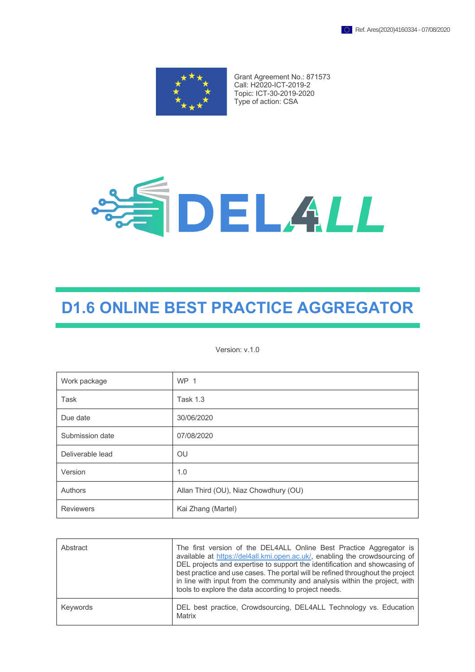

Grant Agreement No.: 871573 Call: H2020-ICT-2019-2 Topic: ICT-30-2019-2020 Type of action: CSA



# **D1.6 ONLINE BEST PRACTICE AGGREGATOR**

Version: v.1.0

| Work package     | WP <sub>1</sub>                       |  |
|------------------|---------------------------------------|--|
| Task             | <b>Task 1.3</b>                       |  |
| Due date         | 30/06/2020                            |  |
| Submission date  | 07/08/2020                            |  |
| Deliverable lead | <b>OU</b>                             |  |
| Version          | 1.0                                   |  |
| Authors          | Allan Third (OU), Niaz Chowdhury (OU) |  |
| <b>Reviewers</b> | Kai Zhang (Martel)                    |  |

| Abstract | The first version of the DEL4ALL Online Best Practice Aggregator is<br>available at https://del4all.kmi.open.ac.uk/, enabling the crowdsourcing of<br>DEL projects and expertise to support the identification and showcasing of<br>best practice and use cases. The portal will be refined throughout the project<br>in line with input from the community and analysis within the project, with<br>tools to explore the data according to project needs. |
|----------|------------------------------------------------------------------------------------------------------------------------------------------------------------------------------------------------------------------------------------------------------------------------------------------------------------------------------------------------------------------------------------------------------------------------------------------------------------|
| Keywords | DEL best practice, Crowdsourcing, DEL4ALL Technology vs. Education<br>Matrix                                                                                                                                                                                                                                                                                                                                                                               |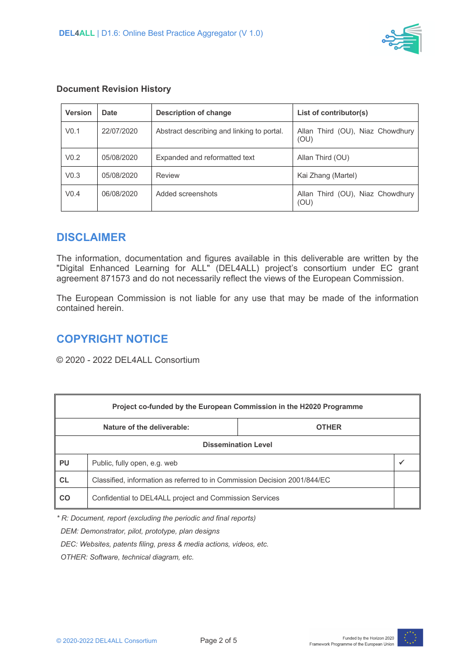

| <b>Version</b>   | <b>Date</b> | <b>Description of change</b>               | List of contributor(s)                   |
|------------------|-------------|--------------------------------------------|------------------------------------------|
| V <sub>0.1</sub> | 22/07/2020  | Abstract describing and linking to portal. | Allan Third (OU), Niaz Chowdhury<br>(OU) |
| V <sub>0.2</sub> | 05/08/2020  | Expanded and reformatted text              | Allan Third (OU)                         |
| V <sub>0.3</sub> | 05/08/2020  | Review                                     | Kai Zhang (Martel)                       |
| V <sub>0.4</sub> | 06/08/2020  | Added screenshots                          | Allan Third (OU), Niaz Chowdhury<br>(OU) |

#### **Document Revision History**

#### **DISCLAIMER**

The information, documentation and figures available in this deliverable are written by the "Digital Enhanced Learning for ALL" (DEL4ALL) project's consortium under EC grant agreement 871573 and do not necessarily reflect the views of the European Commission.

The European Commission is not liable for any use that may be made of the information contained herein.

# **COPYRIGHT NOTICE**

© 2020 - 2022 DEL4ALL Consortium

| Project co-funded by the European Commission in the H2020 Programme |                                                                           |  |  |  |
|---------------------------------------------------------------------|---------------------------------------------------------------------------|--|--|--|
| Nature of the deliverable:<br><b>OTHER</b>                          |                                                                           |  |  |  |
| <b>Dissemination Level</b>                                          |                                                                           |  |  |  |
| PU                                                                  | Public, fully open, e.g. web                                              |  |  |  |
| <b>CL</b>                                                           | Classified, information as referred to in Commission Decision 2001/844/EC |  |  |  |
| CO                                                                  | Confidential to DEL4ALL project and Commission Services                   |  |  |  |

*\* R: Document, report (excluding the periodic and final reports)*

 *DEM: Demonstrator, pilot, prototype, plan designs* 

 *DEC: Websites, patents filing, press & media actions, videos, etc.*

 *OTHER: Software, technical diagram, etc.*

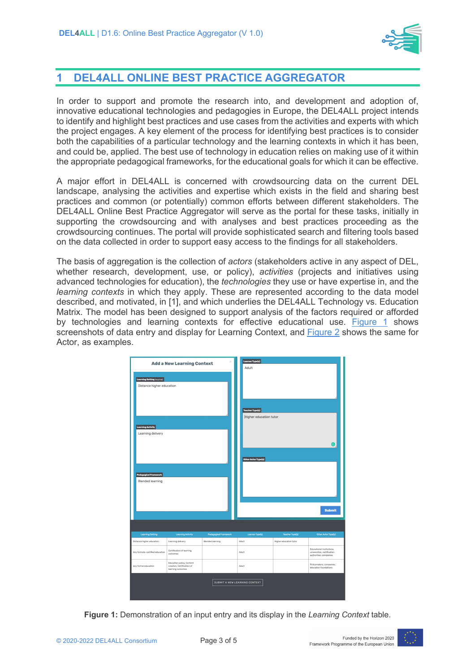

### **1 DEL4ALL ONLINE BEST PRACTICE AGGREGATOR**

In order to support and promote the research into, and development and adoption of, innovative educational technologies and pedagogies in Europe, the DEL4ALL project intends to identify and highlight best practices and use cases from the activities and experts with which the project engages. A key element of the process for identifying best practices is to consider both the capabilities of a particular technology and the learning contexts in which it has been, and could be, applied. The best use of technology in education relies on making use of it within the appropriate pedagogical frameworks, for the educational goals for which it can be effective.

A major effort in DEL4ALL is concerned with crowdsourcing data on the current DEL landscape, analysing the activities and expertise which exists in the field and sharing best practices and common (or potentially) common efforts between different stakeholders. The DEL4ALL Online Best Practice Aggregator will serve as the portal for these tasks, initially in supporting the crowdsourcing and with analyses and best practices proceeding as the crowdsourcing continues. The portal will provide sophisticated search and filtering tools based on the data collected in order to support easy access to the findings for all stakeholders.

The basis of aggregation is the collection of *actors* (stakeholders active in any aspect of DEL, whether research, development, use, or policy), *activities* (projects and initiatives using advanced technologies for education), the *technologies* they use or have expertise in, and the *learning contexts* in which they apply. These are represented according to the data model described, and motivated, in [1], and which underlies the DEL4ALL Technology vs. Education Matrix. The model has been designed to support analysis of the factors required or afforded by technologies and learning contexts for effective educational use. Figure 1 shows screenshots of data entry and display for Learning Context, and Figure 2 shows the same for Actor, as examples.



**Figure 1:** Demonstration of an input entry and its display in the *Learning Context* table.

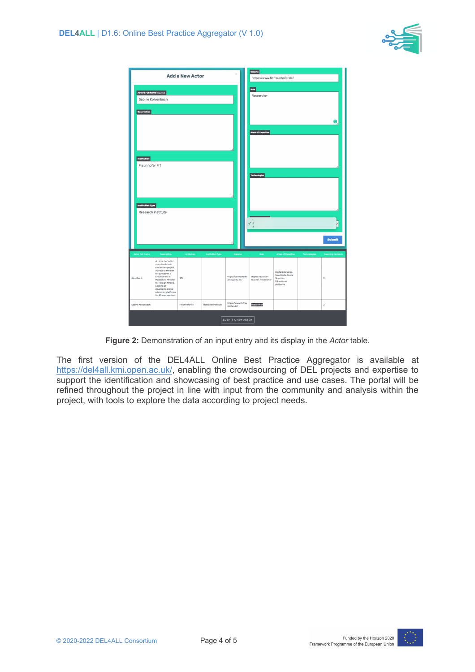

| 5ć<br><b>Add a New Actor</b>                                            |                                                                                                                                                                                                                                                                               |                    |                    |                                                  | Website<br>https://www.fit.fraunhofer.de/                                          |                                                                                                                |                     |                               |
|-------------------------------------------------------------------------|-------------------------------------------------------------------------------------------------------------------------------------------------------------------------------------------------------------------------------------------------------------------------------|--------------------|--------------------|--------------------------------------------------|------------------------------------------------------------------------------------|----------------------------------------------------------------------------------------------------------------|---------------------|-------------------------------|
| Actors Full Name (required)<br>Sabine Kolvenbach<br>Description         |                                                                                                                                                                                                                                                                               |                    |                    |                                                  | Role<br>Researcher                                                                 |                                                                                                                |                     | ⊜                             |
| Institution<br>Fraunhofer FIT<br>Institution Type<br>Research institute |                                                                                                                                                                                                                                                                               |                    |                    |                                                  | <b>Areas of Expertise</b><br>Technologies<br>$\overline{1}$<br>$\checkmark$ 2<br>3 |                                                                                                                |                     |                               |
|                                                                         |                                                                                                                                                                                                                                                                               |                    |                    |                                                  |                                                                                    |                                                                                                                |                     | <b>Submit</b>                 |
| <b>Actor Full Name</b><br>Alex Grech                                    | Description<br>Architect of nation<br>state blockchain<br>credentials project.<br>Advisor to Minister<br>for Education &<br>Employment in<br>Malta (now Minister<br>for Foreign Affairs).<br>Looking at<br>developing digital<br>education platforms<br>for African teachers. | Institution<br>3CL | Institution Type   | Website<br>https://connectedle<br>arning.edu.mt/ | Role<br><b>Higher education</b><br>teacher, Researcher                             | <b>Areas of Expertise</b><br>Digital Literacies.<br>New Media, Social<br>Sciences,<br>Educational<br>platforms | <b>Technologies</b> | <b>Learning Contexts</b><br>3 |
| Sabine Kolvenbach                                                       |                                                                                                                                                                                                                                                                               | Fraunhofer FIT     | Research institute | https://www.fit.frau<br>nhofer.de/               | Researcher                                                                         |                                                                                                                |                     | $\bar{2}$                     |
| SUBMIT A NEW ACTOR                                                      |                                                                                                                                                                                                                                                                               |                    |                    |                                                  |                                                                                    |                                                                                                                |                     |                               |

**Figure 2:** Demonstration of an input entry and its display in the *Actor* table.

The first version of the DEL4ALL Online Best Practice Aggregator is available at https://del4all.kmi.open.ac.uk/, enabling the crowdsourcing of DEL projects and expertise to support the identification and showcasing of best practice and use cases. The portal will be refined throughout the project in line with input from the community and analysis within the project, with tools to explore the data according to project needs.